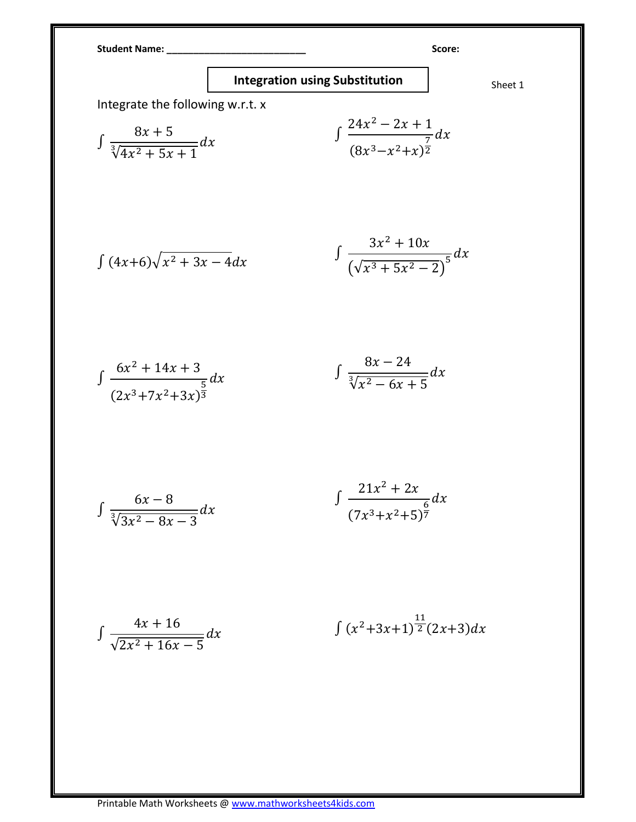Student Name: \_\_\_\_\_\_\_\_\_\_\_\_\_\_\_\_\_\_\_\_\_\_\_\_\_\_ Score:

## Integration using Substitution  $\Big|$  Sheet 1

Integrate the following w.r.t. x

$$
\int \frac{8x+5}{\sqrt[3]{4x^2+5x+1}} dx
$$
\n
$$
\int \frac{24x^2-2x+1}{(8x^3-x^2+x)^{\frac{7}{2}}} dx
$$

$$
\int (4x+6)\sqrt{x^2+3x-4}dx \qquad \qquad \int \frac{3x^2+10x}{(\sqrt{x^3+5x^2-2})^5}dx
$$

$$
\int \frac{6x^2 + 14x + 3}{(2x^3 + 7x^2 + 3x)^{\frac{5}{3}}} dx \qquad \qquad \int \frac{8x - 24}{\sqrt[3]{x^2 - 6x + 5}} dx
$$

$$
\int \frac{6x-8}{\sqrt[3]{3x^2-8x-3}} dx \qquad \qquad \int \frac{21x^2+2x}{(7x^3+x^2+5)^{\frac{6}{7}}} dx
$$

$$
\int \frac{4x+16}{\sqrt{2x^2+16x-5}} dx \qquad \qquad \int (x^2+3x+1)^{\frac{11}{2}}(2x+3)dx
$$